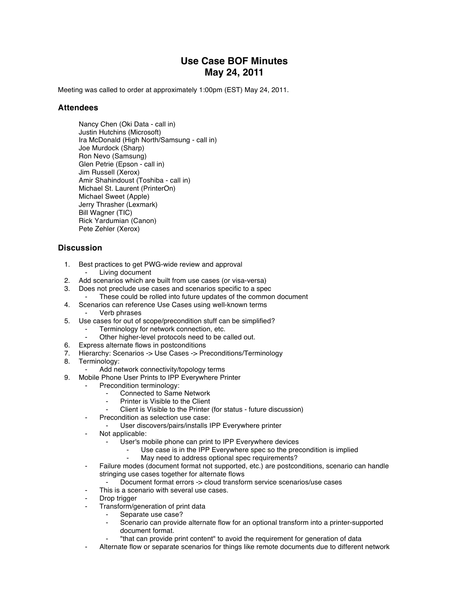## **Use Case BOF Minutes May 24, 2011**

Meeting was called to order at approximately 1:00pm (EST) May 24, 2011.

## **Attendees**

Nancy Chen (Oki Data - call in) Justin Hutchins (Microsoft) Ira McDonald (High North/Samsung - call in) Joe Murdock (Sharp) Ron Nevo (Samsung) Glen Petrie (Epson - call in) Jim Russell (Xerox) Amir Shahindoust (Toshiba - call in) Michael St. Laurent (PrinterOn) Michael Sweet (Apple) Jerry Thrasher (Lexmark) Bill Wagner (TIC) Rick Yardumian (Canon) Pete Zehler (Xerox)

## **Discussion**

- 1. Best practices to get PWG-wide review and approval
	- ⁃ Living document
- 2. Add scenarios which are built from use cases (or visa-versa)
- 3. Does not preclude use cases and scenarios specific to a spec
	- These could be rolled into future updates of the common document
- 4. Scenarios can reference Use Cases using well-known terms ⁃ Verb phrases
- 5. Use cases for out of scope/precondition stuff can be simplified?
	- Terminology for network connection, etc.
	- Other higher-level protocols need to be called out.
- 6. Express alternate flows in postconditions
- 7. Hierarchy: Scenarios -> Use Cases -> Preconditions/Terminology
- 8. Terminology:
	- Add network connectivity/topology terms
- 9. Mobile Phone User Prints to IPP Everywhere Printer
	- Precondition terminology:
		- Connected to Same Network
		- Printer is Visible to the Client
		- Client is Visible to the Printer (for status future discussion)
		- Precondition as selection use case:
			- User discovers/pairs/installs IPP Everywhere printer
		- Not applicable:
			- User's mobile phone can print to IPP Everywhere devices
				- Use case is in the IPP Everywhere spec so the precondition is implied
				- ⁃ May need to address optional spec requirements?
		- ⁃ Failure modes (document format not supported, etc.) are postconditions, scenario can handle stringing use cases together for alternate flows
			- ⁃ Document format errors -> cloud transform service scenarios/use cases
			- This is a scenario with several use cases.
		- Drop trigger
		- Transform/generation of print data
			- Separate use case?
				- Scenario can provide alternate flow for an optional transform into a printer-supported document format.
				- ⁃ "that can provide print content" to avoid the requirement for generation of data
		- ⁃ Alternate flow or separate scenarios for things like remote documents due to different network